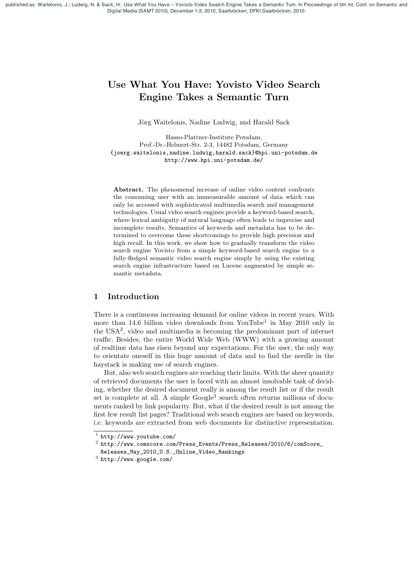published as: Waitelonis, J.; Ludwig, N. & Sack, H.: Use What You Have -- Yovisto Video Search Engine Takes a Semantic Turn. In Proceedings of 5th Int. Conf. on Semantic and Digital Media (SAMT 2010), December 1-3, 2010, Saarbrücken, DFKI Saarbrücken, 2010.

# Use What You Have: Yovisto Video Search Engine Takes a Semantic Turn

Jörg Waitelonis, Nadine Ludwig, and Harald Sack

Hasso-Plattner-Institute Potsdam, Prof.-Dr.-Helmert-Str. 2-3, 14482 Potsdam, Germany {joerg.waitelonis,nadine.ludwig,harald.sack}@hpi.uni-potsdam.de http://www.hpi.uni-potsdam.de/

Abstract. The phenomenal increase of online video content confronts the consuming user with an immeasurable amount of data which can only be accessed with sophisticated multimedia search and management technologies. Usual video search engines provide a keyword-based search, where lexical ambiguity of natural language often leads to imprecise and incomplete results. Semantics of keywords and metadata has to be determined to overcome these shortcomings to provide high precision and high recall. In this work, we show how to gradually transform the video search engine Yovisto from a simple keyword-based search engine to a fully-fledged semantic video search engine simply by using the existing search engine infrastructure based on Lucene augmented by simple semantic metadata.

## 1 Introduction

There is a continuous increasing demand for online videos in recent years. With more than 14.6 billion video downloads from YouTube<sup>1</sup> in May 2010 only in the  $USA<sup>2</sup>$ , video and multimedia is becoming the predominant part of internet traffic. Besides, the entire World Wide Web (WWW) with a growing amount of realtime data has risen beyond any expectations. For the user, the only way to orientate oneself in this huge amount of data and to find the needle in the haystack is making use of search engines.

But, also web search engines are reaching their limits. With the sheer quantity of retrieved documents the user is faced with an almost insolvable task of deciding, whether the desired document really is among the result list or if the result set is complete at all. A simple Google<sup>3</sup> search often returns millions of documents ranked by link popularity. But, what if the desired result is not among the first few result list pages? Traditional web search engines are based on keywords, i.e. keywords are extracted from web documents for distinctive representation.

 $\frac{1}{1}$  http://www.youtube.com/

<sup>2</sup> http://www.comscore.com/Press\_Events/Press\_Releases/2010/6/comScore\_

Releases\_May\_2010\_U.S.\_Online\_Video\_Rankings

 $^3$ http://www.google.com/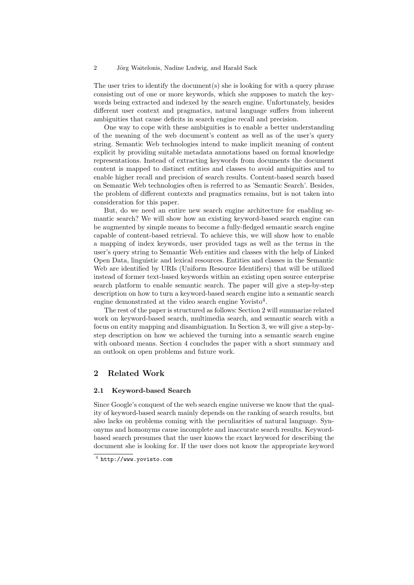The user tries to identify the document(s) she is looking for with a query phrase consisting out of one or more keywords, which she supposes to match the keywords being extracted and indexed by the search engine. Unfortunately, besides different user context and pragmatics, natural language suffers from inherent ambiguities that cause deficits in search engine recall and precision.

One way to cope with these ambiguities is to enable a better understanding of the meaning of the web document's content as well as of the user's query string. Semantic Web technologies intend to make implicit meaning of content explicit by providing suitable metadata annotations based on formal knowledge representations. Instead of extracting keywords from documents the document content is mapped to distinct entities and classes to avoid ambiguities and to enable higher recall and precision of search results. Content-based search based on Semantic Web technologies often is referred to as 'Semantic Search'. Besides, the problem of different contexts and pragmatics remains, but is not taken into consideration for this paper.

But, do we need an entire new search engine architecture for enabling semantic search? We will show how an existing keyword-based search engine can be augmented by simple means to become a fully-fledged semantic search engine capable of content-based retrieval. To achieve this, we will show how to enable a mapping of index keywords, user provided tags as well as the terms in the user's query string to Semantic Web entities and classes with the help of Linked Open Data, linguistic and lexical resources. Entities and classes in the Semantic Web are identified by URIs (Uniform Resource Identifiers) that will be utilized instead of former text-based keywords within an existing open source enterprise search platform to enable semantic search. The paper will give a step-by-step description on how to turn a keyword-based search engine into a semantic search engine demonstrated at the video search engine Yovisto<sup>4</sup>.

The rest of the paper is structured as follows: Section 2 will summarize related work on keyword-based search, multimedia search, and semantic search with a focus on entity mapping and disambiguation. In Section 3, we will give a step-bystep description on how we achieved the turning into a semantic search engine with onboard means. Section 4 concludes the paper with a short summary and an outlook on open problems and future work.

## 2 Related Work

## 2.1 Keyword-based Search

Since Google's conquest of the web search engine universe we know that the quality of keyword-based search mainly depends on the ranking of search results, but also lacks on problems coming with the peculiarities of natural language. Synonyms and homonyms cause incomplete and inaccurate search results. Keywordbased search presumes that the user knows the exact keyword for describing the document she is looking for. If the user does not know the appropriate keyword

<sup>4</sup> http://www.yovisto.com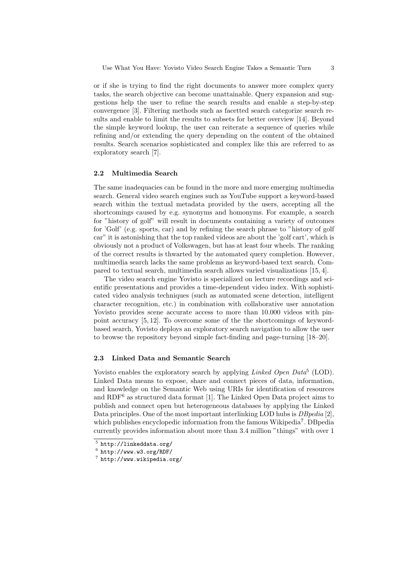or if she is trying to find the right documents to answer more complex query tasks, the search objective can become unattainable. Query expansion and suggestions help the user to refine the search results and enable a step-by-step convergence [3]. Filtering methods such as facetted search categorize search results and enable to limit the results to subsets for better overview [14]. Beyond the simple keyword lookup, the user can reiterate a sequence of queries while refining and/or extending the query depending on the content of the obtained results. Search scenarios sophisticated and complex like this are referred to as exploratory search [7].

### 2.2 Multimedia Search

The same inadequacies can be found in the more and more emerging multimedia search. General video search engines such as YouTube support a keyword-based search within the textual metadata provided by the users, accepting all the shortcomings caused by e.g. synonyms and homonyms. For example, a search for "history of golf" will result in documents containing a variety of outcomes for 'Golf' (e.g. sports, car) and by refining the search phrase to "history of golf car" it is astonishing that the top ranked videos are about the 'golf cart', which is obviously not a product of Volkswagen, but has at least four wheels. The ranking of the correct results is thwarted by the automated query completion. However, multimedia search lacks the same problems as keyword-based text search. Compared to textual search, multimedia search allows varied visualizations [15, 4].

The video search engine Yovisto is specialized on lecture recordings and scientific presentations and provides a time-dependent video index. With sophisticated video analysis techniques (such as automated scene detection, intelligent character recognition, etc.) in combination with collaborative user annotation Yovisto provides scene accurate access to more than 10.000 videos with pinpoint accuracy [5, 12]. To overcome some of the the shortcomings of keywordbased search, Yovisto deploys an exploratory search navigation to allow the user to browse the repository beyond simple fact-finding and page-turning [18–20].

### 2.3 Linked Data and Semantic Search

Yovisto enables the exploratory search by applying *Linked Open Data*<sup>5</sup> (LOD). Linked Data means to expose, share and connect pieces of data, information, and knowledge on the Semantic Web using URIs for identification of resources and  $RDF^6$  as structured data format [1]. The Linked Open Data project aims to publish and connect open but heterogeneous databases by applying the Linked Data principles. One of the most important interlinking LOD hubs is *DBpedia* [2], which publishes encyclopedic information from the famous Wikipedia<sup>7</sup>. DBpedia currently provides information about more than 3.4 million "things" with over 1

<sup>5</sup> http://linkeddata.org/

 $6$  http://www.w3.org/RDF/

<sup>7</sup> http://www.wikipedia.org/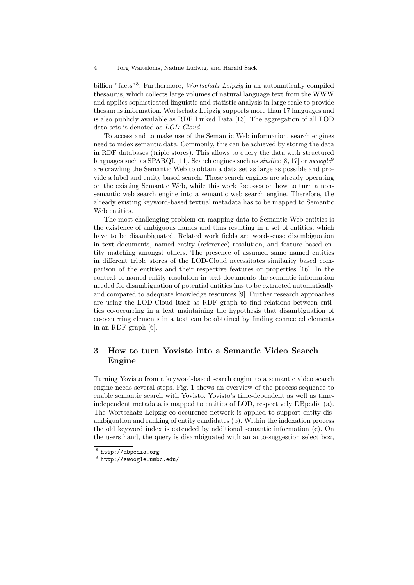billion "facts"<sup>8</sup>. Furthermore, *Wortschatz Leipzig* in an automatically compiled thesaurus, which collects large volumes of natural language text from the WWW and applies sophisticated linguistic and statistic analysis in large scale to provide thesaurus information. Wortschatz Leipzig supports more than 17 languages and is also publicly available as RDF Linked Data [13]. The aggregation of all LOD data sets is denoted as *LOD-Cloud*.

To access and to make use of the Semantic Web information, search engines need to index semantic data. Commonly, this can be achieved by storing the data in RDF databases (triple stores). This allows to query the data with structured languages such as SPARQL [11]. Search engines such as *sindice* [8, 17] or *swoogle*<sup>9</sup> are crawling the Semantic Web to obtain a data set as large as possible and provide a label and entity based search. Those search engines are already operating on the existing Semantic Web, while this work focusses on how to turn a nonsemantic web search engine into a semantic web search engine. Therefore, the already existing keyword-based textual metadata has to be mapped to Semantic Web entities.

The most challenging problem on mapping data to Semantic Web entities is the existence of ambiguous names and thus resulting in a set of entities, which have to be disambiguated. Related work fields are word-sense disambiguation in text documents, named entity (reference) resolution, and feature based entity matching amongst others. The presence of assumed same named entities in different triple stores of the LOD-Cloud necessitates similarity based comparison of the entities and their respective features or properties [16]. In the context of named entity resolution in text documents the semantic information needed for disambiguation of potential entities has to be extracted automatically and compared to adequate knowledge resources [9]. Further research approaches are using the LOD-Cloud itself as RDF graph to find relations between entities co-occurring in a text maintaining the hypothesis that disambiguation of co-occurring elements in a text can be obtained by finding connected elements in an RDF graph [6].

## 3 How to turn Yovisto into a Semantic Video Search Engine

Turning Yovisto from a keyword-based search engine to a semantic video search engine needs several steps. Fig. 1 shows an overview of the process sequence to enable semantic search with Yovisto. Yovisto's time-dependent as well as timeindependent metadata is mapped to entities of LOD, respectively DBpedia (a). The Wortschatz Leipzig co-occurence network is applied to support entity disambiguation and ranking of entity candidates (b). Within the indexation process the old keyword index is extended by additional semantic information (c). On the users hand, the query is disambiguated with an auto-suggestion select box,

 $8$  http://dbpedia.org

<sup>9</sup> http://swoogle.umbc.edu/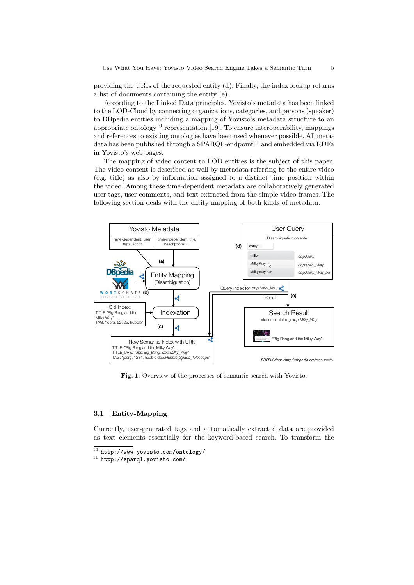providing the URIs of the requested entity (d). Finally, the index lookup returns a list of documents containing the entity (e).

According to the Linked Data principles, Yovisto's metadata has been linked to the LOD-Cloud by connecting organizations, categories, and persons (speaker) to DBpedia entities including a mapping of Yovisto's metadata structure to an appropriate ontology<sup>10</sup> representation [19]. To ensure interoperability, mappings and references to existing ontologies have been used whenever possible. All metadata has been published through a SPAROL-endpoint<sup>11</sup> and embedded via RDFa in Yovisto's web pages.

The mapping of video content to LOD entities is the subject of this paper. The video content is described as well by metadata referring to the entire video (e.g. title) as also by information assigned to a distinct time position within the video. Among these time-dependent metadata are collaboratively generated user tags, user comments, and text extracted from the simple video frames. The following section deals with the entity mapping of both kinds of metadata.



Fig. 1. Overview of the processes of semantic search with Yovisto.

## 3.1 Entity-Mapping

Currently, user-generated tags and automatically extracted data are provided as text elements essentially for the keyword-based search. To transform the

 $\overline{10 \text{ http://www.yovisto.com/ontology/}}$ 

<sup>11</sup> http://sparql.yovisto.com/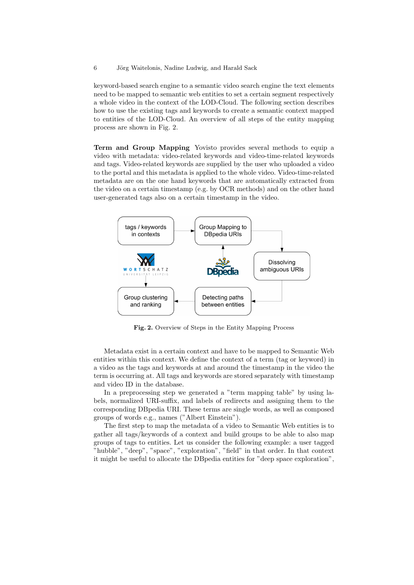keyword-based search engine to a semantic video search engine the text elements need to be mapped to semantic web entities to set a certain segment respectively a whole video in the context of the LOD-Cloud. The following section describes how to use the existing tags and keywords to create a semantic context mapped to entities of the LOD-Cloud. An overview of all steps of the entity mapping process are shown in Fig. 2.

Term and Group Mapping Yovisto provides several methods to equip a video with metadata: video-related keywords and video-time-related keywords and tags. Video-related keywords are supplied by the user who uploaded a video to the portal and this metadata is applied to the whole video. Video-time-related metadata are on the one hand keywords that are automatically extracted from the video on a certain timestamp (e.g. by OCR methods) and on the other hand user-generated tags also on a certain timestamp in the video.



Fig. 2. Overview of Steps in the Entity Mapping Process

Metadata exist in a certain context and have to be mapped to Semantic Web entities within this context. We define the context of a term (tag or keyword) in a video as the tags and keywords at and around the timestamp in the video the term is occurring at. All tags and keywords are stored separately with timestamp and video ID in the database.

In a preprocessing step we generated a "term mapping table" by using labels, normalized URI-suffix, and labels of redirects and assigning them to the corresponding DBpedia URI. These terms are single words, as well as composed groups of words e.g., names ("Albert Einstein").

The first step to map the metadata of a video to Semantic Web entities is to gather all tags/keywords of a context and build groups to be able to also map groups of tags to entities. Let us consider the following example: a user tagged "hubble", "deep", "space", "exploration", "field" in that order. In that context it might be useful to allocate the DBpedia entities for "deep space exploration",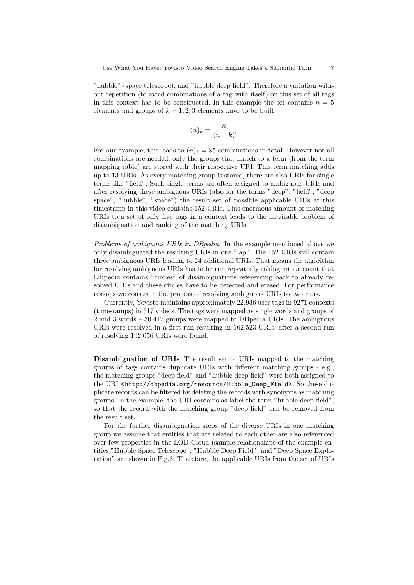"hubble" (space telescope), and "hubble deep field". Therefore a variation without repetition (to avoid combinations of a tag with itself) on this set of all tags in this context has to be constructed. In this example the set contains  $n = 5$ elements and groups of  $k = 1, 2, 3$  elements have to be built.

$$
(n)_k = \frac{n!}{(n-k)!}
$$

For our example, this leads to  $(n)_k = 85$  combinations in total. However not all combinations are needed, only the groups that match to a term (from the term mapping table) are stored with their respective URI. This term matching adds up to 13 URIs. As every matching group is stored, there are also URIs for single terms like "field". Such single terms are often assigned to ambiguous URIs and after resolving these ambiguous URIs (also for the terms "deep", "field", "deep space", "hubble", "space") the result set of possible applicable URIs at this timestamp in this video contains 152 URIs. This enormous amount of matching URIs to a set of only five tags in a context leads to the inevitable problem of disambiguation and ranking of the matching URIs.

*Problems of ambiguous URIs in DBpedia:* In the example mentioned above we only disambiguated the resulting URIs in one "lap". The 152 URIs still contain three ambiguous URIs leading to 24 additional URIs. That means the algorithm for resolving ambiguous URIs has to be run repeatedly taking into account that DBpedia contains "circles" of disambiguations referencing back to already resolved URIs and these circles have to be detected and erased. For performance reasons we constrain the process of resolving ambiguous URIs to two runs.

Currently, Yovisto maintains approximately 22.936 user tags in 9271 contexts (timestamps) in 517 videos. The tags were mapped as single words and groups of 2 and 3 words – 30.417 groups were mapped to DBpedia URIs. The ambiguous URIs were resolved in a first run resulting in 162.523 URIs, after a second run of resolving 192.056 URIs were found.

Disambiguation of URIs The result set of URIs mapped to the matching groups of tags contains duplicate URIs with different matching groups - e.g., the matching groups "deep field" and "hubble deep field" were both assigned to the URI <http://dbpedia.org/resource/Hubble\_Deep\_Field>. So these duplicate records can be filtered by deleting the records with synonyms as matching groups. In the example, the URI contains as label the term "hubble deep field", so that the record with the matching group "deep field" can be removed from the result set.

For the further disambiguation steps of the diverse URIs in one matching group we assume that entities that are related to each other are also referenced over few properties in the LOD-Cloud (sample relationships of the example entities "Hubble Space Telescope", "Hubble Deep Field", and "Deep Space Exploration" are shown in Fig.3. Therefore, the applicable URIs from the set of URIs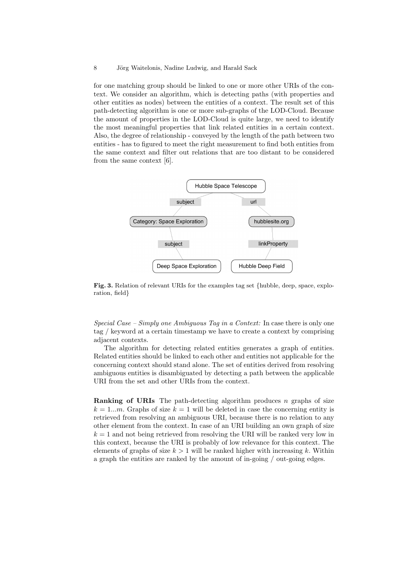for one matching group should be linked to one or more other URIs of the context. We consider an algorithm, which is detecting paths (with properties and other entities as nodes) between the entities of a context. The result set of this path-detecting algorithm is one or more sub-graphs of the LOD-Cloud. Because the amount of properties in the LOD-Cloud is quite large, we need to identify the most meaningful properties that link related entities in a certain context. Also, the degree of relationship - conveyed by the length of the path between two entities - has to figured to meet the right measurement to find both entities from the same context and filter out relations that are too distant to be considered from the same context [6].



Fig. 3. Relation of relevant URIs for the examples tag set *{*hubble, deep, space, exploration, field*}*

*Special Case – Simply one Ambiguous Tag in a Context:* In case there is only one tag / keyword at a certain timestamp we have to create a context by comprising adjacent contexts.

The algorithm for detecting related entities generates a graph of entities. Related entities should be linked to each other and entities not applicable for the concerning context should stand alone. The set of entities derived from resolving ambiguous entities is disambiguated by detecting a path between the applicable URI from the set and other URIs from the context.

Ranking of URIs The path-detecting algorithm produces *n* graphs of size  $k = 1...m$ . Graphs of size  $k = 1$  will be deleted in case the concerning entity is retrieved from resolving an ambiguous URI, because there is no relation to any other element from the context. In case of an URI building an own graph of size  $k = 1$  and not being retrieved from resolving the URI will be ranked very low in this context, because the URI is probably of low relevance for this context. The elements of graphs of size  $k > 1$  will be ranked higher with increasing  $k$ . Within a graph the entities are ranked by the amount of in-going / out-going edges.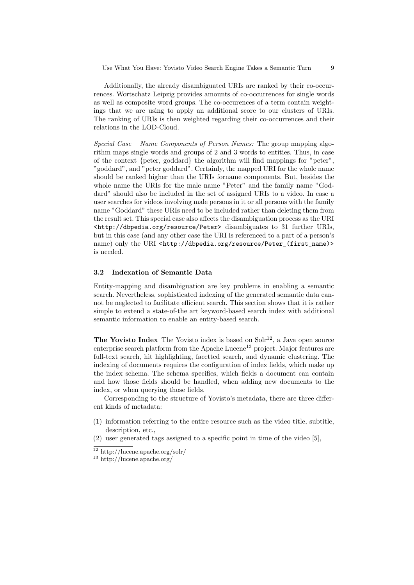Additionally, the already disambiguated URIs are ranked by their co-occurrences. Wortschatz Leipzig provides amounts of co-occurrences for single words as well as composite word groups. The co-occurences of a term contain weightings that we are using to apply an additional score to our clusters of URIs. The ranking of URIs is then weighted regarding their co-occurrences and their relations in the LOD-Cloud.

*Special Case – Name Components of Person Names:* The group mapping algorithm maps single words and groups of 2 and 3 words to entities. Thus, in case of the context *{*peter, goddard*}* the algorithm will find mappings for "peter", "goddard", and "peter goddard". Certainly, the mapped URI for the whole name should be ranked higher than the URIs forname components. But, besides the whole name the URIs for the male name "Peter" and the family name "Goddard" should also be included in the set of assigned URIs to a video. In case a user searches for videos involving male persons in it or all persons with the family name "Goddard" these URIs need to be included rather than deleting them from the result set. This special case also affects the disambiguation process as the URI <http://dbpedia.org/resource/Peter> disambiguates to 31 further URIs, but in this case (and any other case the URI is referenced to a part of a person's name) only the URI <http://dbpedia.org/resource/Peter\_(first\_name)> is needed.

## 3.2 Indexation of Semantic Data

Entity-mapping and disambiguation are key problems in enabling a semantic search. Nevertheless, sophisticated indexing of the generated semantic data cannot be neglected to facilitate efficient search. This section shows that it is rather simple to extend a state-of-the art keyword-based search index with additional semantic information to enable an entity-based search.

**The Yovisto Index** The Yovisto index is based on  $S\ddot{\text{o}}\text{ln}^{12}$ , a Java open source enterprise search platform from the Apache Lucene<sup>13</sup> project. Major features are full-text search, hit highlighting, facetted search, and dynamic clustering. The indexing of documents requires the configuration of index fields, which make up the index schema. The schema specifies, which fields a document can contain and how those fields should be handled, when adding new documents to the index, or when querying those fields.

Corresponding to the structure of Yovisto's metadata, there are three different kinds of metadata:

- (1) information referring to the entire resource such as the video title, subtitle, description, etc.,
- (2) user generated tags assigned to a specific point in time of the video [5],

<sup>12</sup> http://lucene.apache.org/solr/

 $^{13}$ http://lucene.apache.org/  $\,$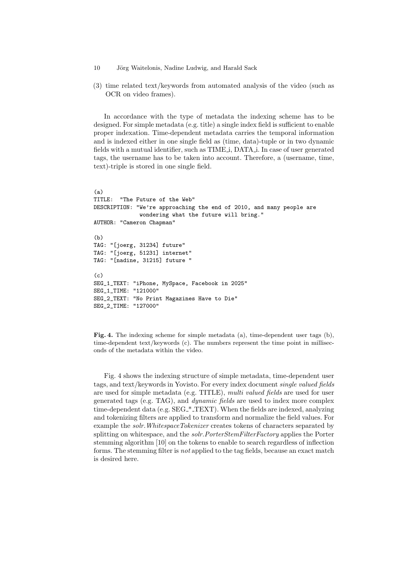- 10 Jörg Waitelonis, Nadine Ludwig, and Harald Sack
- (3) time related text/keywords from automated analysis of the video (such as OCR on video frames).

In accordance with the type of metadata the indexing scheme has to be designed. For simple metadata (e.g. title) a single index field is sufficient to enable proper indexation. Time-dependent metadata carries the temporal information and is indexed either in one single field as (time, data)-tuple or in two dynamic fields with a mutual identifier, such as TIME i, DATA i. In case of user generated tags, the username has to be taken into account. Therefore, a (username, time, text)-triple is stored in one single field.

```
(a)
TITLE: "The Future of the Web"
DESCRIPTION: "We're approaching the end of 2010, and many people are
              wondering what the future will bring."
AUTHOR: "Cameron Chapman"
(b)
TAG: "[joerg, 31234] future"
TAG: "[joerg, 51231] internet"
TAG: "[nadine, 31215] future "
(c)SEG_1_TEXT: "iPhone, MySpace, Facebook in 2025"
SEG_1_TIME: "121000"
SEG_2_TEXT: "No Print Magazines Have to Die"
SEG_2_TIME: "127000"
```

```
Fig. 4. The indexing scheme for simple metadata (a), time-dependent user tags (b),
time-dependent text/keywords (c). The numbers represent the time point in millisec-
onds of the metadata within the video.
```
Fig. 4 shows the indexing structure of simple metadata, time-dependent user tags, and text/keywords in Yovisto. For every index document *single valued fields* are used for simple metadata (e.g. TITLE), *multi valued fields* are used for user generated tags (e.g. TAG), and *dynamic fields* are used to index more complex time-dependent data (e.g. SEG\_\*\_TEXT). When the fields are indexed, analyzing and tokenizing filters are applied to transform and normalize the field values. For example the *solr.WhitespaceTokenizer* creates tokens of characters separated by splitting on whitespace, and the *solr.PorterStemFilterFactory* applies the Porter stemming algorithm [10] on the tokens to enable to search regardless of inflection forms. The stemming filter is *not* applied to the tag fields, because an exact match is desired here.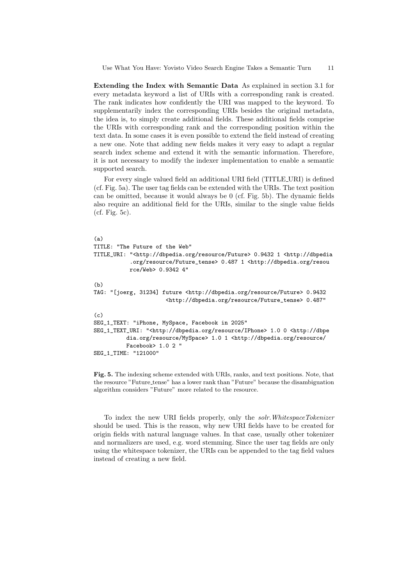Extending the Index with Semantic Data As explained in section 3.1 for every metadata keyword a list of URIs with a corresponding rank is created. The rank indicates how confidently the URI was mapped to the keyword. To supplementarily index the corresponding URIs besides the original metadata, the idea is, to simply create additional fields. These additional fields comprise the URIs with corresponding rank and the corresponding position within the text data. In some cases it is even possible to extend the field instead of creating a new one. Note that adding new fields makes it very easy to adapt a regular search index scheme and extend it with the semantic information. Therefore, it is not necessary to modify the indexer implementation to enable a semantic supported search.

For every single valued field an additional URI field (TITLE\_URI) is defined (cf. Fig. 5a). The user tag fields can be extended with the URIs. The text position can be omitted, because it would always be 0 (cf. Fig. 5b). The dynamic fields also require an additional field for the URIs, similar to the single value fields (cf. Fig. 5c).

```
(a)
TITLE: "The Future of the Web"
TITLE_URI: "<http://dbpedia.org/resource/Future> 0.9432 1 <http://dbpedia
           .org/resource/Future_tense> 0.487 1 <http://dbpedia.org/resou
           rce/Web> 0.9342 4"
(b)TAG: "[joerg, 31234] future <http://dbpedia.org/resource/Future> 0.9432
                      <http://dbpedia.org/resource/Future_tense> 0.487"
(c)
SEG_1_TEXT: "iPhone, MySpace, Facebook in 2025"
SEG_1_TEXT_URI: "<http://dbpedia.org/resource/IPhone> 1.0 0 <http://dbpe
          dia.org/resource/MySpace> 1.0 1 <http://dbpedia.org/resource/
          Facebook> 1.0 2 "
SEG_1_TIME: "121000"
```
Fig. 5. The indexing scheme extended with URIs, ranks, and text positions. Note, that the resource "Future tense" has a lower rank than "Future" because the disambiguation algorithm considers "Future" more related to the resource.

To index the new URI fields properly, only the *solr.WhitespaceTokenizer* should be used. This is the reason, why new URI fields have to be created for origin fields with natural language values. In that case, usually other tokenizer and normalizers are used, e.g. word stemming. Since the user tag fields are only using the whitespace tokenizer, the URIs can be appended to the tag field values instead of creating a new field.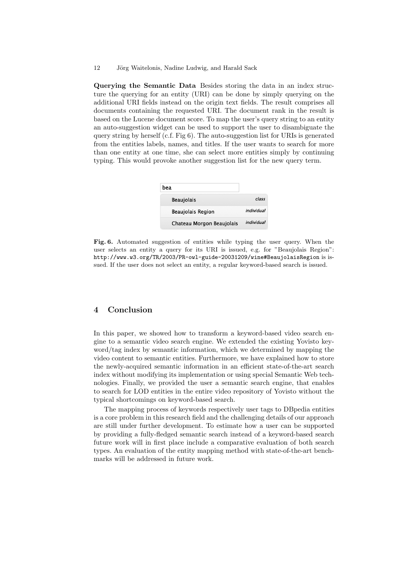Querying the Semantic Data Besides storing the data in an index structure the querying for an entity (URI) can be done by simply querying on the additional URI fields instead on the origin text fields. The result comprises all documents containing the requested URI. The document rank in the result is based on the Lucene document score. To map the user's query string to an entity an auto-suggestion widget can be used to support the user to disambiguate the query string by herself (c.f. Fig 6). The auto-suggestion list for URIs is generated from the entities labels, names, and titles. If the user wants to search for more than one entity at one time, she can select more entities simply by continuing typing. This would provoke another suggestion list for the new query term.

| bea                       |            |
|---------------------------|------------|
| <b>Beaujolais</b>         | class      |
| Beaujolais Region         | individual |
| Chateau Morgon Beaujolais | individual |

Fig. 6. Automated suggestion of entities while typing the user query. When the user selects an entity a query for its URI is issued, e.g. for "Beaujolais Region": http://www.w3.org/TR/2003/PR-owl-guide-20031209/wine#BeaujolaisRegion is issued. If the user does not select an entity, a regular keyword-based search is issued.

## 4 Conclusion

In this paper, we showed how to transform a keyword-based video search engine to a semantic video search engine. We extended the existing Yovisto keyword/tag index by semantic information, which we determined by mapping the video content to semantic entities. Furthermore, we have explained how to store the newly-acquired semantic information in an efficient state-of-the-art search index without modifying its implementation or using special Semantic Web technologies. Finally, we provided the user a semantic search engine, that enables to search for LOD entities in the entire video repository of Yovisto without the typical shortcomings on keyword-based search.

The mapping process of keywords respectively user tags to DBpedia entities is a core problem in this research field and the challenging details of our approach are still under further development. To estimate how a user can be supported by providing a fully-fledged semantic search instead of a keyword-based search future work will in first place include a comparative evaluation of both search types. An evaluation of the entity mapping method with state-of-the-art benchmarks will be addressed in future work.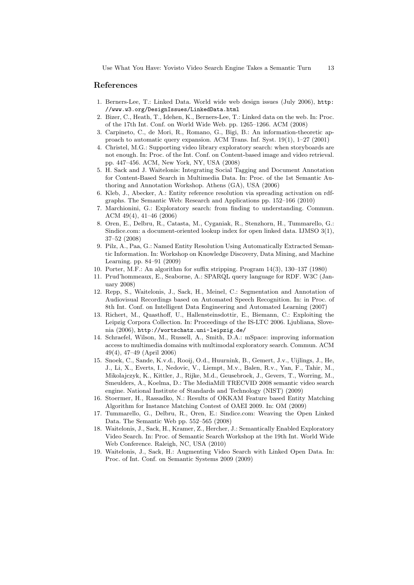Use What You Have: Yovisto Video Search Engine Takes a Semantic Turn 13

### References

- 1. Berners-Lee, T.: Linked Data. World wide web design issues (July 2006), http: //www.w3.org/DesignIssues/LinkedData.html
- 2. Bizer, C., Heath, T., Idehen, K., Berners-Lee, T.: Linked data on the web. In: Proc. of the 17th Int. Conf. on World Wide Web. pp. 1265–1266. ACM (2008)
- 3. Carpineto, C., de Mori, R., Romano, G., Bigi, B.: An information-theoretic approach to automatic query expansion. ACM Trans. Inf. Syst. 19(1), 1–27 (2001)
- 4. Christel, M.G.: Supporting video library exploratory search: when storyboards are not enough. In: Proc. of the Int. Conf. on Content-based image and video retrieval. pp. 447–456. ACM, New York, NY, USA (2008)
- 5. H. Sack and J. Waitelonis: Integrating Social Tagging and Document Annotation for Content-Based Search in Multimedia Data. In: Proc. of the 1st Semantic Authoring and Annotation Workshop. Athens (GA), USA (2006)
- 6. Kleb, J., Abecker, A.: Entity reference resolution via spreading activation on rdfgraphs. The Semantic Web: Research and Applications pp. 152–166 (2010)
- 7. Marchionini, G.: Exploratory search: from finding to understanding. Commun. ACM 49(4), 41–46 (2006)
- 8. Oren, E., Delbru, R., Catasta, M., Cyganiak, R., Stenzhorn, H., Tummarello, G.: Sindice.com: a document-oriented lookup index for open linked data. IJMSO 3(1), 37–52 (2008)
- 9. Pilz, A., Paa, G.: Named Entity Resolution Using Automatically Extracted Semantic Information. In: Workshop on Knowledge Discovery, Data Mining, and Machine Learning. pp. 84–91 (2009)
- 10. Porter, M.F.: An algorithm for suffix stripping. Program 14(3), 130–137 (1980)
- 11. Prud'hommeaux, E., Seaborne, A.: SPARQL query language for RDF. W3C (January 2008)
- 12. Repp, S., Waitelonis, J., Sack, H., Meinel, C.: Segmentation and Annotation of Audiovisual Recordings based on Automated Speech Recognition. In: in Proc. of 8th Int. Conf. on Intelligent Data Engineering and Automated Learning (2007)
- 13. Richert, M., Quasthoff, U., Hallensteinsdottir, E., Biemann, C.: Exploiting the Leipzig Corpora Collection. In: Proceedings of the IS-LTC 2006. Ljubliana, Slovenia (2006), http://wortschatz.uni-leipzig.de/
- 14. Schraefel, Wilson, M., Russell, A., Smith, D.A.: mSpace: improving information access to multimedia domains with multimodal exploratory search. Commun. ACM 49(4), 47–49 (April 2006)
- 15. Snoek, C., Sande, K.v.d., Rooij, O.d., Huurnink, B., Gemert, J.v., Uijlings, J., He, J., Li, X., Everts, I., Nedovic, V., Liempt, M.v., Balen, R.v., Yan, F., Tahir, M., Mikolajczyk, K., Kittler, J., Rijke, M.d., Geusebroek, J., Gevers, T., Worring, M., Smeulders, A., Koelma, D.: The MediaMill TRECVID 2008 semantic video search engine. National Institute of Standards and Technology (NIST) (2009)
- 16. Stoermer, H., Rassadko, N.: Results of OKKAM Feature based Entity Matching Algorithm for Instance Matching Contest of OAEI 2009. In: OM (2009)
- 17. Tummarello, G., Delbru, R., Oren, E.: Sindice.com: Weaving the Open Linked Data. The Semantic Web pp. 552–565 (2008)
- 18. Waitelonis, J., Sack, H., Kramer, Z., Hercher, J.: Semantically Enabled Exploratory Video Search. In: Proc. of Semantic Search Workshop at the 19th Int. World Wide Web Conference. Raleigh, NC, USA (2010)
- 19. Waitelonis, J., Sack, H.: Augmenting Video Search with Linked Open Data. In: Proc. of Int. Conf. on Semantic Systems 2009 (2009)